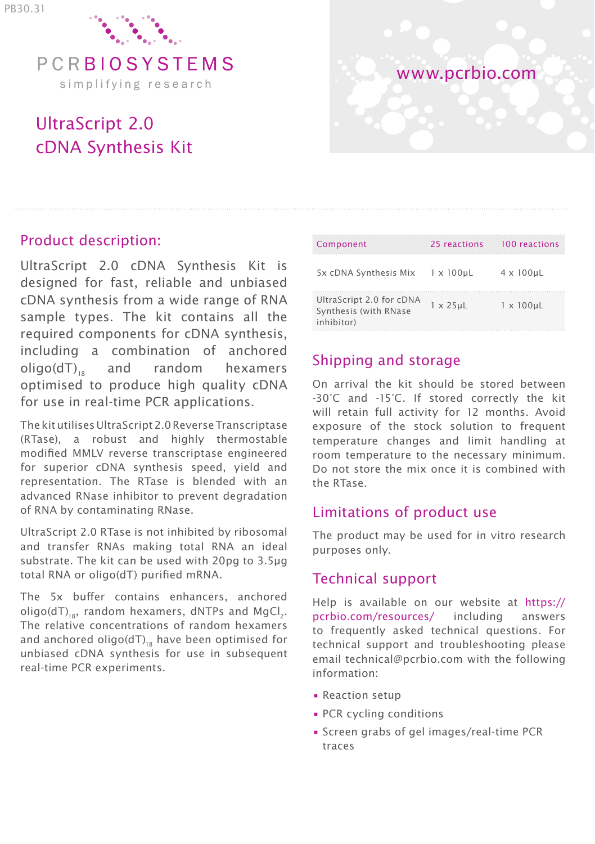

# UltraScript 2.0 cDNA Synthesis Kit

# www.pcrbio.com

# Product description:

UltraScript 2.0 cDNA Synthesis Kit is designed for fast, reliable and unbiased cDNA synthesis from a wide range of RNA sample types. The kit contains all the required components for cDNA synthesis, including a combination of anchored oligo(dT)., and random hexamers optimised to produce high quality cDNA for use in real-time PCR applications.

The kit utilises UltraScript 2.0 Reverse Transcriptase (RTase), a robust and highly thermostable modified MMLV reverse transcriptase engineered for superior cDNA synthesis speed, yield and representation. The RTase is blended with an advanced RNase inhibitor to prevent degradation of RNA by contaminating RNase.

UltraScript 2.0 RTase is not inhibited by ribosomal and transfer RNAs making total RNA an ideal substrate. The kit can be used with 20pg to 3.5μg total RNA or oligo(dT) purified mRNA.

The 5x buffer contains enhancers, anchored oligo(dT) $_{18}$ , random hexamers, dNTPs and MgCl<sub>2</sub>. The relative concentrations of random hexamers and anchored oligo( $dT$ )<sub>18</sub> have been optimised for unbiased cDNA synthesis for use in subsequent real-time PCR experiments.

| Component                                                       | 25 reactions     | 100 reactions     |
|-----------------------------------------------------------------|------------------|-------------------|
| 5x cDNA Synthesis Mix 1 x 100µL                                 |                  | $4 \times 100$ uL |
| UltraScript 2.0 for cDNA<br>Synthesis (with RNase<br>inhibitor) | $1 \times 25$ uL | $1 \times 100$ uL |

# Shipping and storage

On arrival the kit should be stored between -30°C and -15°C. If stored correctly the kit will retain full activity for 12 months. Avoid exposure of the stock solution to frequent temperature changes and limit handling at room temperature to the necessary minimum. Do not store the mix once it is combined with the RTase.

# Limitations of product use

The product may be used for in vitro research purposes only.

# Technical support

Help is available on our website at https:// pcrbio.com/resources/ including answers to frequently asked technical questions. For technical support and troubleshooting please email technical@pcrbio.com with the following information:

- Reaction setup
- PCR cycling conditions
- Screen grabs of gel images/real-time PCR traces